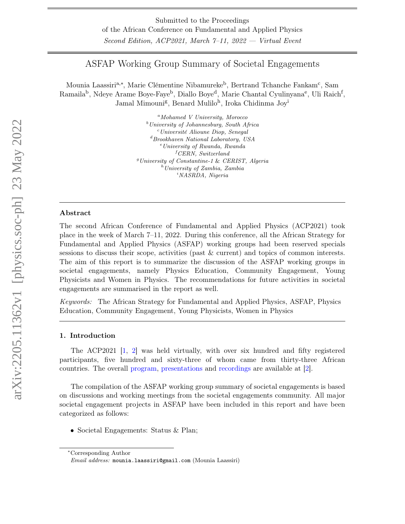# ASFAP Working Group Summary of Societal Engagements

Mounia Laassiri<sup>a,∗</sup>, Marie Clémentine Nibamureke<sup>b</sup>, Bertrand Tchanche Fankam<sup>c</sup>, Sam Ramaila<sup>b</sup>, Ndeye Arame Boye-Faye<sup>b</sup>, Diallo Boye<sup>d</sup>, Marie Chantal Cyulinyana<sup>e</sup>, Uli Raich<sup>f</sup>, Jamal Mimouni<sup>g</sup>, Benard Mulilo<sup>h</sup>, Iroka Chidinma Joy<sup>i</sup>

> ${}^a$ Mohamed V University, Morocco  $b$ University of Johannesburg, South Africa  $c$ Université Alioune Diop, Senegal  ${}^{d}$ Brookhaven National Laboratory, USA  $e$ University of Rwanda, Rwanda  ${}^f$ CERN, Switzerland  $<sup>g</sup> University of Constantine-1 & CERIST, Algeria$ </sup>  $h$ University of Zambia, Zambia  $i<sub>NASRDA</sub>$ , Nigeria

# Abstract

The second African Conference of Fundamental and Applied Physics (ACP2021) took place in the week of March 7–11, 2022. During this conference, all the African Strategy for Fundamental and Applied Physics (ASFAP) working groups had been reserved specials sessions to discuss their scope, activities (past & current) and topics of common interests. The aim of this report is to summarize the discussion of the ASFAP working groups in societal engagements, namely Physics Education, Community Engagement, Young Physicists and Women in Physics. The recommendations for future activities in societal engagements are summarised in the report as well.

Keywords: The African Strategy for Fundamental and Applied Physics, ASFAP, Physics Education, Community Engagement, Young Physicists, Women in Physics

# 1. Introduction

The ACP2021 [\[1,](#page-6-0) [2\]](#page-6-1) was held virtually, with over six hundred and fifty registered participants, five hundred and sixty-three of whom came from thirty-three African countries. The overall [program,](https://indico.cern.ch/event/1060503/timetable/#all) [presentations](https://indico.cern.ch/event/1060503/contributions/) and [recordings](https://indico.cern.ch/event/1060503/sessions/428245/#all) are available at [\[2\]](#page-6-1).

The compilation of the ASFAP working group summary of societal engagements is based on discussions and working meetings from the societal engagements community. All major societal engagement projects in ASFAP have been included in this report and have been categorized as follows:

• Societal Engagements: Status & Plan;

<sup>∗</sup>Corresponding Author

Email address: mounia.laassiri@gmail.com (Mounia Laassiri)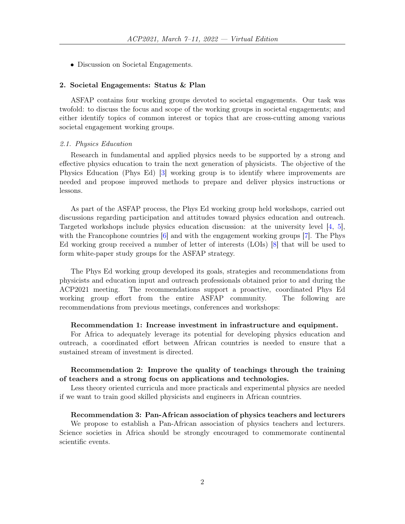• Discussion on Societal Engagements.

#### 2. Societal Engagements: Status & Plan

ASFAP contains four working groups devoted to societal engagements. Our task was twofold: to discuss the focus and scope of the working groups in societal engagements; and either identify topics of common interest or topics that are cross-cutting among various societal engagement working groups.

#### 2.1. Physics Education

Research in fundamental and applied physics needs to be supported by a strong and effective physics education to train the next generation of physicists. The objective of the Physics Education (Phys Ed) [\[3\]](#page-6-2) working group is to identify where improvements are needed and propose improved methods to prepare and deliver physics instructions or lessons.

As part of the ASFAP process, the Phys Ed working group held workshops, carried out discussions regarding participation and attitudes toward physics education and outreach. Targeted workshops include physics education discussion: at the university level [\[4,](#page-6-3) [5\]](#page-6-4), with the Francophone countries [\[6\]](#page-6-5) and with the engagement working groups [\[7\]](#page-6-6). The Phys Ed working group received a number of letter of interests (LOIs) [\[8\]](#page-6-7) that will be used to form white-paper study groups for the ASFAP strategy.

The Phys Ed working group developed its goals, strategies and recommendations from physicists and education input and outreach professionals obtained prior to and during the ACP2021 meeting. The recommendations support a proactive, coordinated Phys Ed working group effort from the entire ASFAP community. The following are recommendations from previous meetings, conferences and workshops:

# Recommendation 1: Increase investment in infrastructure and equipment.

For Africa to adequately leverage its potential for developing physics education and outreach, a coordinated effort between African countries is needed to ensure that a sustained stream of investment is directed.

# Recommendation 2: Improve the quality of teachings through the training of teachers and a strong focus on applications and technologies.

Less theory oriented curricula and more practicals and experimental physics are needed if we want to train good skilled physicists and engineers in African countries.

#### Recommendation 3: Pan-African association of physics teachers and lecturers

We propose to establish a Pan-African association of physics teachers and lecturers. Science societies in Africa should be strongly encouraged to commemorate continental scientific events.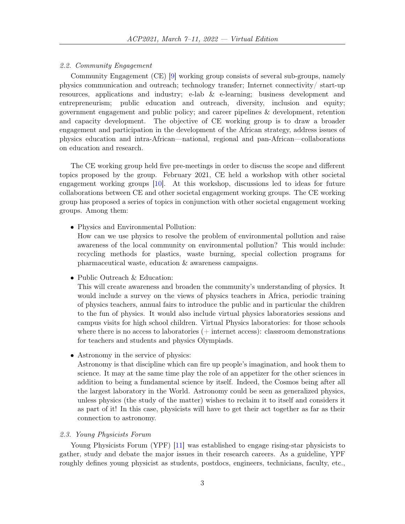#### 2.2. Community Engagement

Community Engagement (CE) [\[9\]](#page-6-8) working group consists of several sub-groups, namely physics communication and outreach; technology transfer; Internet connectivity/ start-up resources, applications and industry; e-lab & e-learning; business development and entrepreneurism; public education and outreach, diversity, inclusion and equity; government engagement and public policy; and career pipelines & development, retention and capacity development. The objective of CE working group is to draw a broader engagement and participation in the development of the African strategy, address issues of physics education and intra-African—national, regional and pan-African—collaborations on education and research.

The CE working group held five pre-meetings in order to discuss the scope and different topics proposed by the group. February 2021, CE held a workshop with other societal engagement working groups [\[10\]](#page-6-9). At this workshop, discussions led to ideas for future collaborations between CE and other societal engagement working groups. The CE working group has proposed a series of topics in conjunction with other societal engagement working groups. Among them:

• Physics and Environmental Pollution:

How can we use physics to resolve the problem of environmental pollution and raise awareness of the local community on environmental pollution? This would include: recycling methods for plastics, waste burning, special collection programs for pharmaceutical waste, education & awareness campaigns.

• Public Outreach & Education:

This will create awareness and broaden the community's understanding of physics. It would include a survey on the views of physics teachers in Africa, periodic training of physics teachers, annual fairs to introduce the public and in particular the children to the fun of physics. It would also include virtual physics laboratories sessions and campus visits for high school children. Virtual Physics laboratories: for those schools where there is no access to laboratories  $(+)$  internet access): classroom demonstrations for teachers and students and physics Olympiads.

• Astronomy in the service of physics:

Astronomy is that discipline which can fire up people's imagination, and hook them to science. It may at the same time play the role of an appetizer for the other sciences in addition to being a fundamental science by itself. Indeed, the Cosmos being after all the largest laboratory in the World. Astronomy could be seen as generalized physics, unless physics (the study of the matter) wishes to reclaim it to itself and considers it as part of it! In this case, physicists will have to get their act together as far as their connection to astronomy.

# 2.3. Young Physicists Forum

Young Physicists Forum (YPF) [\[11\]](#page-6-10) was established to engage rising-star physicists to gather, study and debate the major issues in their research careers. As a guideline, YPF roughly defines young physicist as students, postdocs, engineers, technicians, faculty, etc.,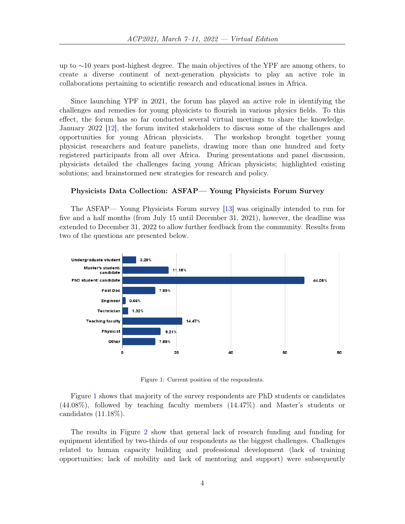up to ∼10 years post-highest degree. The main objectives of the YPF are among others, to create a diverse continent of next-generation physicists to play an active role in collaborations pertaining to scientific research and educational issues in Africa.

Since launching YPF in 2021, the forum has played an active role in identifying the challenges and remedies for young physicists to flourish in various physics fields. To this effect, the forum has so far conducted several virtual meetings to share the knowledge. January 2022 [\[12\]](#page-6-11), the forum invited stakeholders to discuss some of the challenges and opportunities for young African physicists. The workshop brought together young physicist researchers and feature panelists, drawing more than one hundred and forty registered participants from all over Africa. During presentations and panel discussion, physicists detailed the challenges facing young African physicists; highlighted existing solutions; and brainstormed new strategies for research and policy.

# Physicists Data Collection: ASFAP— Young Physicists Forum Survey

The ASFAP— Young Physicists Forum survey [\[13\]](#page-6-12) was originally intended to run for five and a half months (from July 15 until December 31, 2021), however, the deadline was extended to December 31, 2022 to allow further feedback from the community. Results from two of the questions are presented below.



<span id="page-3-0"></span>Figure 1: Current position of the respondents.

Figure [1](#page-3-0) shows that majority of the survey respondents are PhD students or candidates (44.08%), followed by teaching faculty members (14.47%) and Master's students or candidates (11.18%).

The results in Figure [2](#page-4-0) show that general lack of research funding and funding for equipment identified by two-thirds of our respondents as the biggest challenges. Challenges related to human capacity building and professional development (lack of training opportunities; lack of mobility and lack of mentoring and support) were subsequently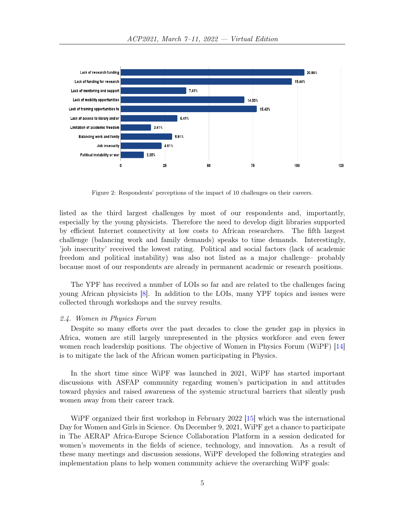

<span id="page-4-0"></span>Figure 2: Respondents' perceptions of the impact of 10 challenges on their careers.

listed as the third largest challenges by most of our respondents and, importantly, especially by the young physicists. Therefore the need to develop digit libraries supported by efficient Internet connectivity at low costs to African researchers. The fifth largest challenge (balancing work and family demands) speaks to time demands. Interestingly, 'job insecurity' received the lowest rating. Political and social factors (lack of academic freedom and political instability) was also not listed as a major challenge– probably because most of our respondents are already in permanent academic or research positions.

The YPF has received a number of LOIs so far and are related to the challenges facing young African physicists [\[8\]](#page-6-7). In addition to the LOIs, many YPF topics and issues were collected through workshops and the survey results.

#### 2.4. Women in Physics Forum

Despite so many efforts over the past decades to close the gender gap in physics in Africa, women are still largely unrepresented in the physics workforce and even fewer women reach leadership positions. The objective of Women in Physics Forum (WiPF) [\[14\]](#page-6-13) is to mitigate the lack of the African women participating in Physics.

In the short time since WiPF was launched in 2021, WiPF has started important discussions with ASFAP community regarding women's participation in and attitudes toward physics and raised awareness of the systemic structural barriers that silently push women away from their career track.

WiPF organized their first workshop in February 2022 [\[15\]](#page-6-14) which was the international Day for Women and Girls in Science. On December 9, 2021, WiPF get a chance to participate in The AERAP Africa-Europe Science Collaboration Platform in a session dedicated for women's movements in the fields of science, technology, and innovation. As a result of these many meetings and discussion sessions, WiPF developed the following strategies and implementation plans to help women community achieve the overarching WiPF goals: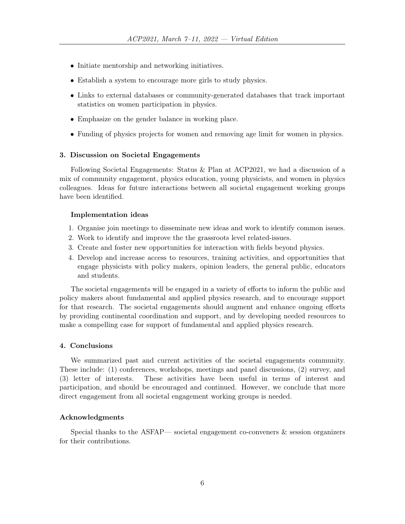- Initiate mentorship and networking initiatives.
- Establish a system to encourage more girls to study physics.
- Links to external databases or community-generated databases that track important statistics on women participation in physics.
- Emphasize on the gender balance in working place.
- Funding of physics projects for women and removing age limit for women in physics.

### 3. Discussion on Societal Engagements

Following Societal Engagements: Status & Plan at ACP2021, we had a discussion of a mix of community engagement, physics education, young physicists, and women in physics colleagues. Ideas for future interactions between all societal engagement working groups have been identified.

### Implementation ideas

- 1. Organise join meetings to disseminate new ideas and work to identify common issues.
- 2. Work to identify and improve the the grassroots level related-issues.
- 3. Create and foster new opportunities for interaction with fields beyond physics.
- 4. Develop and increase access to resources, training activities, and opportunities that engage physicists with policy makers, opinion leaders, the general public, educators and students.

The societal engagements will be engaged in a variety of efforts to inform the public and policy makers about fundamental and applied physics research, and to encourage support for that research. The societal engagements should augment and enhance ongoing efforts by providing continental coordination and support, and by developing needed resources to make a compelling case for support of fundamental and applied physics research.

#### 4. Conclusions

We summarized past and current activities of the societal engagements community. These include: (1) conferences, workshops, meetings and panel discussions, (2) survey, and (3) letter of interests. These activities have been useful in terms of interest and participation, and should be encouraged and continued. However, we conclude that more direct engagement from all societal engagement working groups is needed.

# Acknowledgments

Special thanks to the ASFAP— societal engagement co-conveners & session organizers for their contributions.